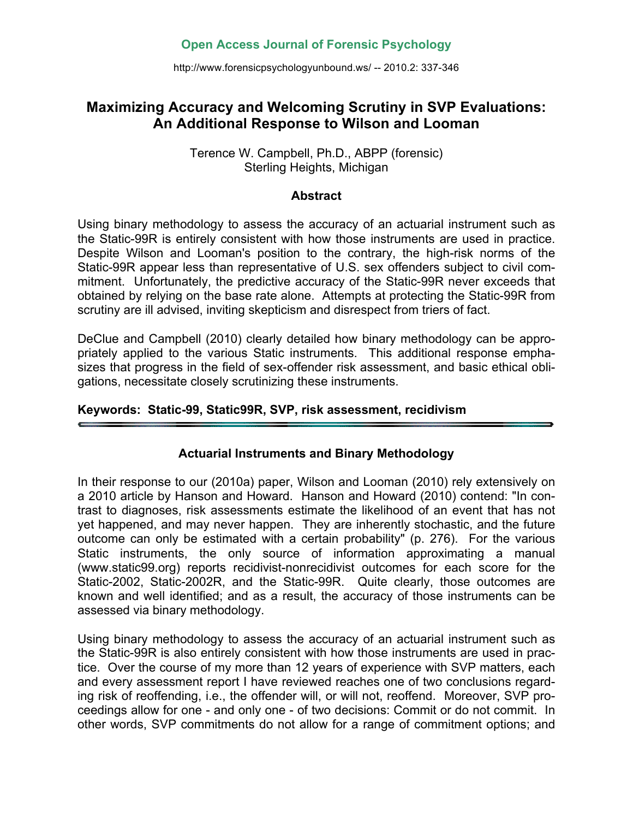# **Open Access Journal of Forensic Psychology**

http://www.forensicpsychologyunbound.ws/ -- 2010.2: 337-346

# **Maximizing Accuracy and Welcoming Scrutiny in SVP Evaluations: An Additional Response to Wilson and Looman**

#### Terence W. Campbell, Ph.D., ABPP (forensic) Sterling Heights, Michigan

#### **Abstract**

Using binary methodology to assess the accuracy of an actuarial instrument such as the Static-99R is entirely consistent with how those instruments are used in practice. Despite Wilson and Looman's position to the contrary, the high-risk norms of the Static-99R appear less than representative of U.S. sex offenders subject to civil commitment. Unfortunately, the predictive accuracy of the Static-99R never exceeds that obtained by relying on the base rate alone. Attempts at protecting the Static-99R from scrutiny are ill advised, inviting skepticism and disrespect from triers of fact.

DeClue and Campbell (2010) clearly detailed how binary methodology can be appropriately applied to the various Static instruments. This additional response emphasizes that progress in the field of sex-offender risk assessment, and basic ethical obligations, necessitate closely scrutinizing these instruments.

# **Keywords: Static-99, Static99R, SVP, risk assessment, recidivism**

# **Actuarial Instruments and Binary Methodology**

In their response to our (2010a) paper, Wilson and Looman (2010) rely extensively on a 2010 article by Hanson and Howard. Hanson and Howard (2010) contend: "In contrast to diagnoses, risk assessments estimate the likelihood of an event that has not yet happened, and may never happen. They are inherently stochastic, and the future outcome can only be estimated with a certain probability" (p. 276). For the various Static instruments, the only source of information approximating a manual (www.static99.org) reports recidivist-nonrecidivist outcomes for each score for the Static-2002, Static-2002R, and the Static-99R. Quite clearly, those outcomes are known and well identified; and as a result, the accuracy of those instruments can be assessed via binary methodology.

Using binary methodology to assess the accuracy of an actuarial instrument such as the Static-99R is also entirely consistent with how those instruments are used in practice. Over the course of my more than 12 years of experience with SVP matters, each and every assessment report I have reviewed reaches one of two conclusions regarding risk of reoffending, i.e., the offender will, or will not, reoffend. Moreover, SVP proceedings allow for one - and only one - of two decisions: Commit or do not commit. In other words, SVP commitments do not allow for a range of commitment options; and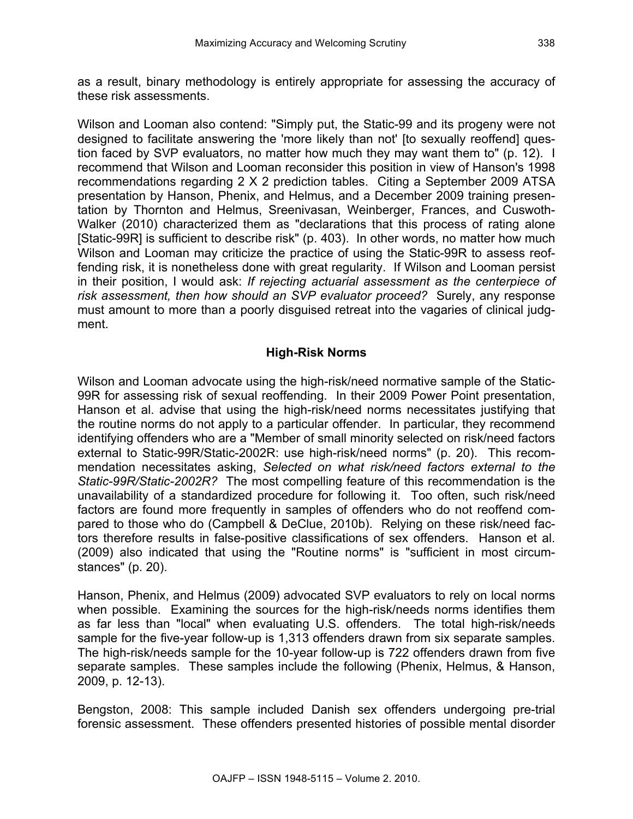as a result, binary methodology is entirely appropriate for assessing the accuracy of these risk assessments.

Wilson and Looman also contend: "Simply put, the Static-99 and its progeny were not designed to facilitate answering the 'more likely than not' [to sexually reoffend] question faced by SVP evaluators, no matter how much they may want them to" (p. 12). I recommend that Wilson and Looman reconsider this position in view of Hanson's 1998 recommendations regarding 2 X 2 prediction tables. Citing a September 2009 ATSA presentation by Hanson, Phenix, and Helmus, and a December 2009 training presentation by Thornton and Helmus, Sreenivasan, Weinberger, Frances, and Cuswoth-Walker (2010) characterized them as "declarations that this process of rating alone [Static-99R] is sufficient to describe risk" (p. 403). In other words, no matter how much Wilson and Looman may criticize the practice of using the Static-99R to assess reoffending risk, it is nonetheless done with great regularity. If Wilson and Looman persist in their position, I would ask: *If rejecting actuarial assessment as the centerpiece of risk assessment, then how should an SVP evaluator proceed?* Surely, any response must amount to more than a poorly disguised retreat into the vagaries of clinical judgment.

# **High-Risk Norms**

Wilson and Looman advocate using the high-risk/need normative sample of the Static-99R for assessing risk of sexual reoffending. In their 2009 Power Point presentation, Hanson et al. advise that using the high-risk/need norms necessitates justifying that the routine norms do not apply to a particular offender. In particular, they recommend identifying offenders who are a "Member of small minority selected on risk/need factors external to Static-99R/Static-2002R: use high-risk/need norms" (p. 20). This recommendation necessitates asking, *Selected on what risk/need factors external to the Static-99R/Static-2002R?* The most compelling feature of this recommendation is the unavailability of a standardized procedure for following it. Too often, such risk/need factors are found more frequently in samples of offenders who do not reoffend compared to those who do (Campbell & DeClue, 2010b). Relying on these risk/need factors therefore results in false-positive classifications of sex offenders. Hanson et al. (2009) also indicated that using the "Routine norms" is "sufficient in most circumstances" (p. 20).

Hanson, Phenix, and Helmus (2009) advocated SVP evaluators to rely on local norms when possible. Examining the sources for the high-risk/needs norms identifies them as far less than "local" when evaluating U.S. offenders. The total high-risk/needs sample for the five-year follow-up is 1,313 offenders drawn from six separate samples. The high-risk/needs sample for the 10-year follow-up is 722 offenders drawn from five separate samples. These samples include the following (Phenix, Helmus, & Hanson, 2009, p. 12-13).

Bengston, 2008: This sample included Danish sex offenders undergoing pre-trial forensic assessment. These offenders presented histories of possible mental disorder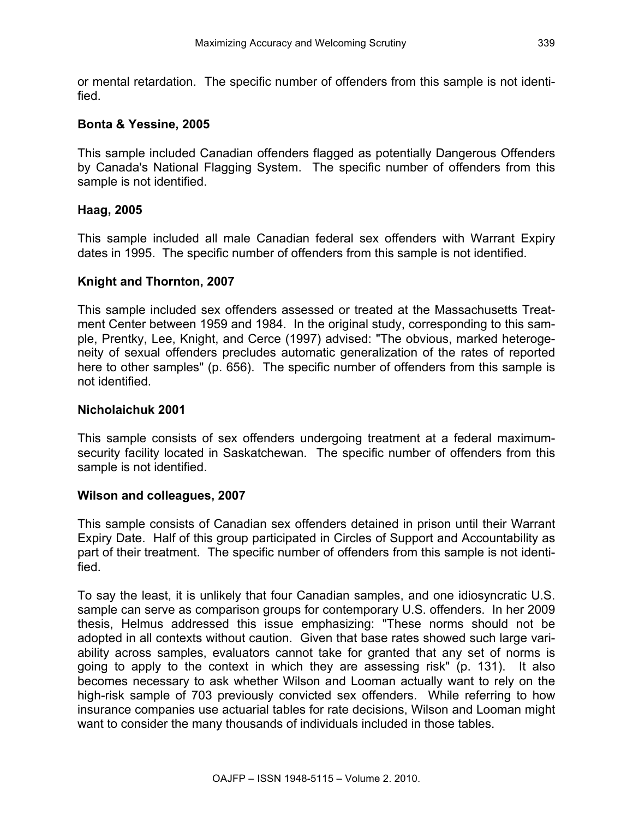or mental retardation. The specific number of offenders from this sample is not identified.

#### **Bonta & Yessine, 2005**

This sample included Canadian offenders flagged as potentially Dangerous Offenders by Canada's National Flagging System. The specific number of offenders from this sample is not identified.

#### **Haag, 2005**

This sample included all male Canadian federal sex offenders with Warrant Expiry dates in 1995. The specific number of offenders from this sample is not identified.

#### **Knight and Thornton, 2007**

This sample included sex offenders assessed or treated at the Massachusetts Treatment Center between 1959 and 1984. In the original study, corresponding to this sample, Prentky, Lee, Knight, and Cerce (1997) advised: "The obvious, marked heterogeneity of sexual offenders precludes automatic generalization of the rates of reported here to other samples" (p. 656). The specific number of offenders from this sample is not identified.

#### **Nicholaichuk 2001**

This sample consists of sex offenders undergoing treatment at a federal maximumsecurity facility located in Saskatchewan. The specific number of offenders from this sample is not identified.

#### **Wilson and colleagues, 2007**

This sample consists of Canadian sex offenders detained in prison until their Warrant Expiry Date. Half of this group participated in Circles of Support and Accountability as part of their treatment. The specific number of offenders from this sample is not identified.

To say the least, it is unlikely that four Canadian samples, and one idiosyncratic U.S. sample can serve as comparison groups for contemporary U.S. offenders. In her 2009 thesis, Helmus addressed this issue emphasizing: "These norms should not be adopted in all contexts without caution. Given that base rates showed such large variability across samples, evaluators cannot take for granted that any set of norms is going to apply to the context in which they are assessing risk" (p. 131). It also becomes necessary to ask whether Wilson and Looman actually want to rely on the high-risk sample of 703 previously convicted sex offenders. While referring to how insurance companies use actuarial tables for rate decisions, Wilson and Looman might want to consider the many thousands of individuals included in those tables.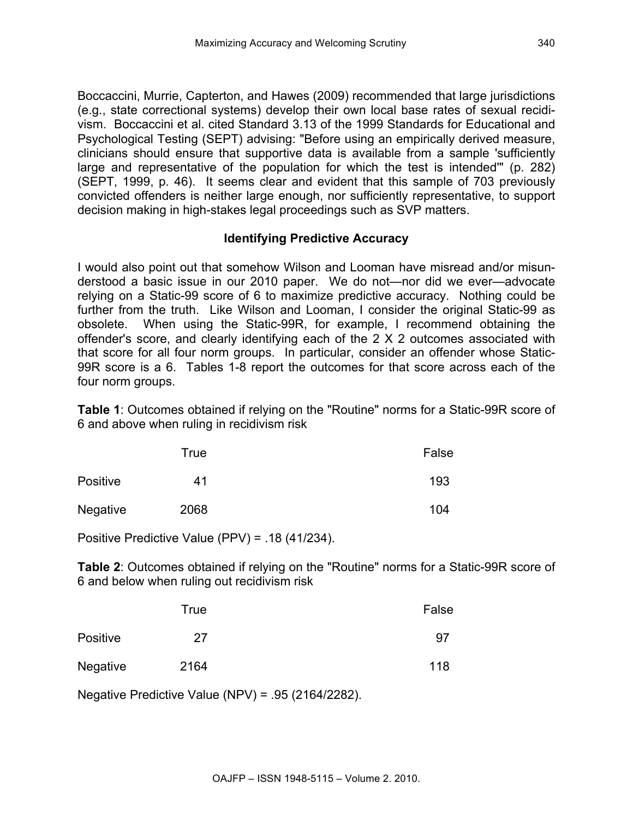Boccaccini, Murrie, Capterton, and Hawes (2009) recommended that large jurisdictions (e.g., state correctional systems) develop their own local base rates of sexual recidivism. Boccaccini et al. cited Standard 3.13 of the 1999 Standards for Educational and Psychological Testing (SEPT) advising: "Before using an empirically derived measure, clinicians should ensure that supportive data is available from a sample 'sufficiently large and representative of the population for which the test is intended'" (p. 282) (SEPT, 1999, p. 46). It seems clear and evident that this sample of 703 previously convicted offenders is neither large enough, nor sufficiently representative, to support decision making in high-stakes legal proceedings such as SVP matters.

# **Identifying Predictive Accuracy**

I would also point out that somehow Wilson and Looman have misread and/or misunderstood a basic issue in our 2010 paper. We do not—nor did we ever—advocate relying on a Static-99 score of 6 to maximize predictive accuracy. Nothing could be further from the truth. Like Wilson and Looman, I consider the original Static-99 as obsolete. When using the Static-99R, for example, I recommend obtaining the offender's score, and clearly identifying each of the 2 X 2 outcomes associated with that score for all four norm groups. In particular, consider an offender whose Static-99R score is a 6. Tables 1-8 report the outcomes for that score across each of the four norm groups.

**Table 1**: Outcomes obtained if relying on the "Routine" norms for a Static-99R score of 6 and above when ruling in recidivism risk

|                 | True | False |
|-----------------|------|-------|
| <b>Positive</b> | 41   | 193   |
| Negative        | 2068 | 104   |

Positive Predictive Value (PPV) = .18 (41/234).

**Table 2**: Outcomes obtained if relying on the "Routine" norms for a Static-99R score of 6 and below when ruling out recidivism risk

|                 | True | False |
|-----------------|------|-------|
| <b>Positive</b> | 27   | 97    |
| <b>Negative</b> | 2164 | 118   |

Negative Predictive Value (NPV) = .95 (2164/2282).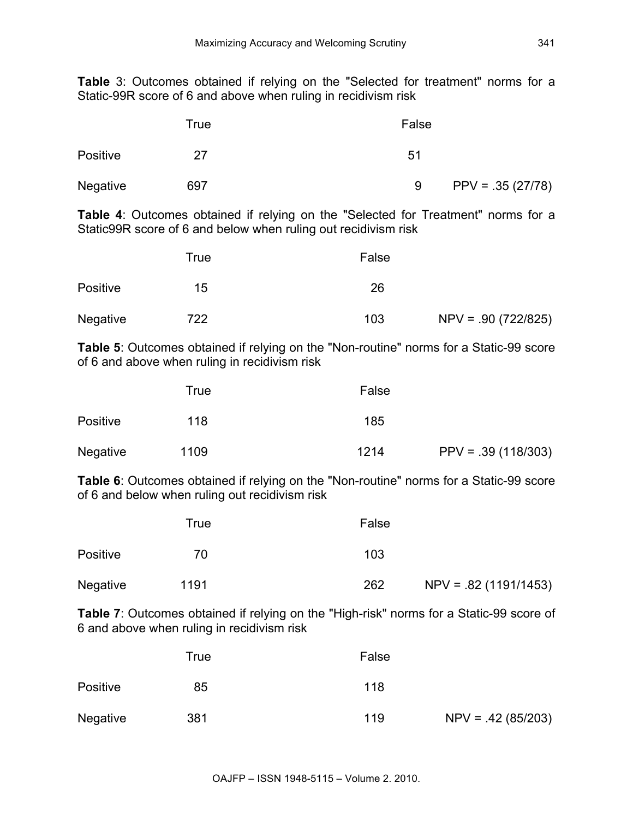**Table** 3: Outcomes obtained if relying on the "Selected for treatment" norms for a Static-99R score of 6 and above when ruling in recidivism risk

|                 | True | False                    |
|-----------------|------|--------------------------|
| Positive        | 27   | 51                       |
| <b>Negative</b> | 697  | $PPV = .35 (27/78)$<br>9 |

**Table 4**: Outcomes obtained if relying on the "Selected for Treatment" norms for a Static99R score of 6 and below when ruling out recidivism risk

|                 | True | False |                       |
|-----------------|------|-------|-----------------------|
| <b>Positive</b> | 15   | 26    |                       |
| <b>Negative</b> | 722  | 103   | $NPV = .90 (722/825)$ |

**Table 5**: Outcomes obtained if relying on the "Non-routine" norms for a Static-99 score of 6 and above when ruling in recidivism risk

|                 | True | False |                      |
|-----------------|------|-------|----------------------|
| <b>Positive</b> | 118  | 185   |                      |
| <b>Negative</b> | 1109 | 1214  | $PPV = .39(118/303)$ |

**Table 6**: Outcomes obtained if relying on the "Non-routine" norms for a Static-99 score of 6 and below when ruling out recidivism risk

|                 | True | False |                        |
|-----------------|------|-------|------------------------|
| <b>Positive</b> | 70   | 103   |                        |
| <b>Negative</b> | 1191 | 262   | $NPV = .82(1191/1453)$ |

**Table 7**: Outcomes obtained if relying on the "High-risk" norms for a Static-99 score of 6 and above when ruling in recidivism risk

|                 | False<br>True |     |                      |
|-----------------|---------------|-----|----------------------|
| <b>Positive</b> | 85            | 118 |                      |
| Negative        | 381           | 119 | $NPV = .42 (85/203)$ |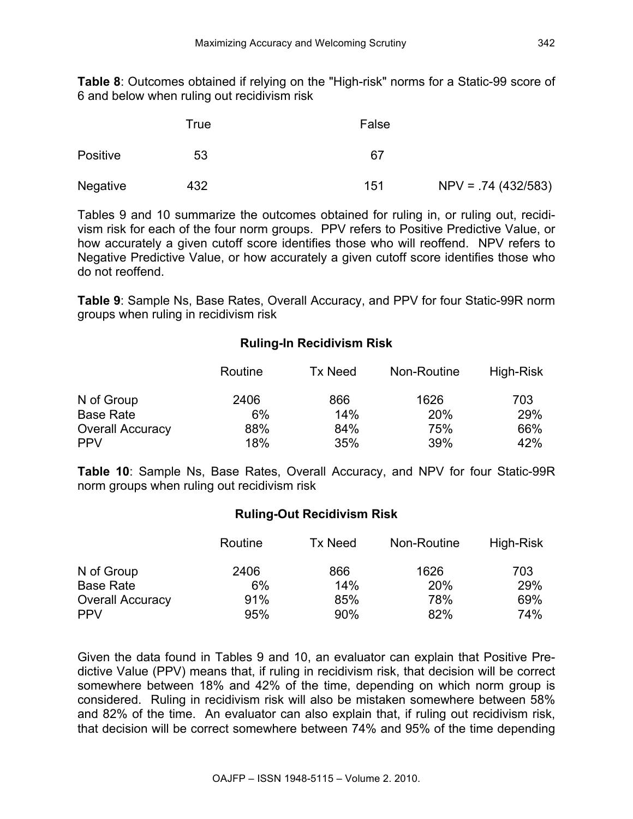**Table 8**: Outcomes obtained if relying on the "High-risk" norms for a Static-99 score of 6 and below when ruling out recidivism risk

|                 | True | False |                       |
|-----------------|------|-------|-----------------------|
| <b>Positive</b> | 53   | 67    |                       |
| Negative        | 432  | 151   | $NPV = .74 (432/583)$ |

Tables 9 and 10 summarize the outcomes obtained for ruling in, or ruling out, recidivism risk for each of the four norm groups. PPV refers to Positive Predictive Value, or how accurately a given cutoff score identifies those who will reoffend. NPV refers to Negative Predictive Value, or how accurately a given cutoff score identifies those who do not reoffend.

**Table 9**: Sample Ns, Base Rates, Overall Accuracy, and PPV for four Static-99R norm groups when ruling in recidivism risk

# **Ruling-In Recidivism Risk**

|                         | Routine | Tx Need | Non-Routine | High-Risk |
|-------------------------|---------|---------|-------------|-----------|
| N of Group              | 2406    | 866     | 1626        | 703       |
| <b>Base Rate</b>        | 6%      | 14%     | 20%         | 29%       |
| <b>Overall Accuracy</b> | 88%     | 84%     | 75%         | 66%       |
| <b>PPV</b>              | 18%     | 35%     | 39%         | 42%       |

**Table 10**: Sample Ns, Base Rates, Overall Accuracy, and NPV for four Static-99R norm groups when ruling out recidivism risk

#### **Ruling-Out Recidivism Risk**

|                         | Routine | Tx Need | Non-Routine | High-Risk |
|-------------------------|---------|---------|-------------|-----------|
| N of Group              | 2406    | 866     | 1626        | 703       |
| <b>Base Rate</b>        | 6%      | 14%     | 20%         | 29%       |
| <b>Overall Accuracy</b> | 91%     | 85%     | 78%         | 69%       |
| <b>PPV</b>              | 95%     | 90%     | 82%         | 74%       |

Given the data found in Tables 9 and 10, an evaluator can explain that Positive Predictive Value (PPV) means that, if ruling in recidivism risk, that decision will be correct somewhere between 18% and 42% of the time, depending on which norm group is considered. Ruling in recidivism risk will also be mistaken somewhere between 58% and 82% of the time. An evaluator can also explain that, if ruling out recidivism risk, that decision will be correct somewhere between 74% and 95% of the time depending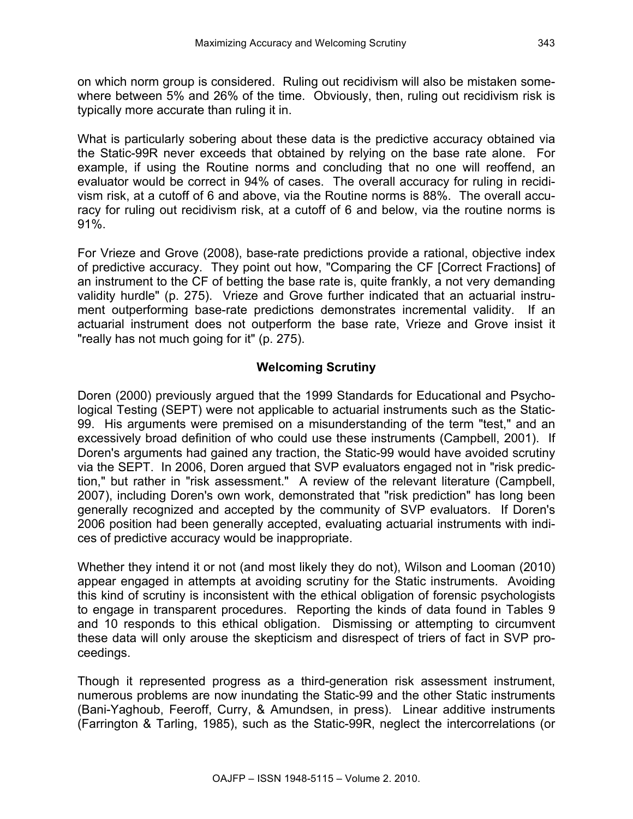on which norm group is considered. Ruling out recidivism will also be mistaken somewhere between 5% and 26% of the time. Obviously, then, ruling out recidivism risk is typically more accurate than ruling it in.

What is particularly sobering about these data is the predictive accuracy obtained via the Static-99R never exceeds that obtained by relying on the base rate alone. For example, if using the Routine norms and concluding that no one will reoffend, an evaluator would be correct in 94% of cases. The overall accuracy for ruling in recidivism risk, at a cutoff of 6 and above, via the Routine norms is 88%. The overall accuracy for ruling out recidivism risk, at a cutoff of 6 and below, via the routine norms is 91%.

For Vrieze and Grove (2008), base-rate predictions provide a rational, objective index of predictive accuracy. They point out how, "Comparing the CF [Correct Fractions] of an instrument to the CF of betting the base rate is, quite frankly, a not very demanding validity hurdle" (p. 275). Vrieze and Grove further indicated that an actuarial instrument outperforming base-rate predictions demonstrates incremental validity. If an actuarial instrument does not outperform the base rate, Vrieze and Grove insist it "really has not much going for it" (p. 275).

# **Welcoming Scrutiny**

Doren (2000) previously argued that the 1999 Standards for Educational and Psychological Testing (SEPT) were not applicable to actuarial instruments such as the Static-99. His arguments were premised on a misunderstanding of the term "test," and an excessively broad definition of who could use these instruments (Campbell, 2001). If Doren's arguments had gained any traction, the Static-99 would have avoided scrutiny via the SEPT. In 2006, Doren argued that SVP evaluators engaged not in "risk prediction," but rather in "risk assessment." A review of the relevant literature (Campbell, 2007), including Doren's own work, demonstrated that "risk prediction" has long been generally recognized and accepted by the community of SVP evaluators. If Doren's 2006 position had been generally accepted, evaluating actuarial instruments with indices of predictive accuracy would be inappropriate.

Whether they intend it or not (and most likely they do not), Wilson and Looman (2010) appear engaged in attempts at avoiding scrutiny for the Static instruments. Avoiding this kind of scrutiny is inconsistent with the ethical obligation of forensic psychologists to engage in transparent procedures. Reporting the kinds of data found in Tables 9 and 10 responds to this ethical obligation. Dismissing or attempting to circumvent these data will only arouse the skepticism and disrespect of triers of fact in SVP proceedings.

Though it represented progress as a third-generation risk assessment instrument, numerous problems are now inundating the Static-99 and the other Static instruments (Bani-Yaghoub, Feeroff, Curry, & Amundsen, in press). Linear additive instruments (Farrington & Tarling, 1985), such as the Static-99R, neglect the intercorrelations (or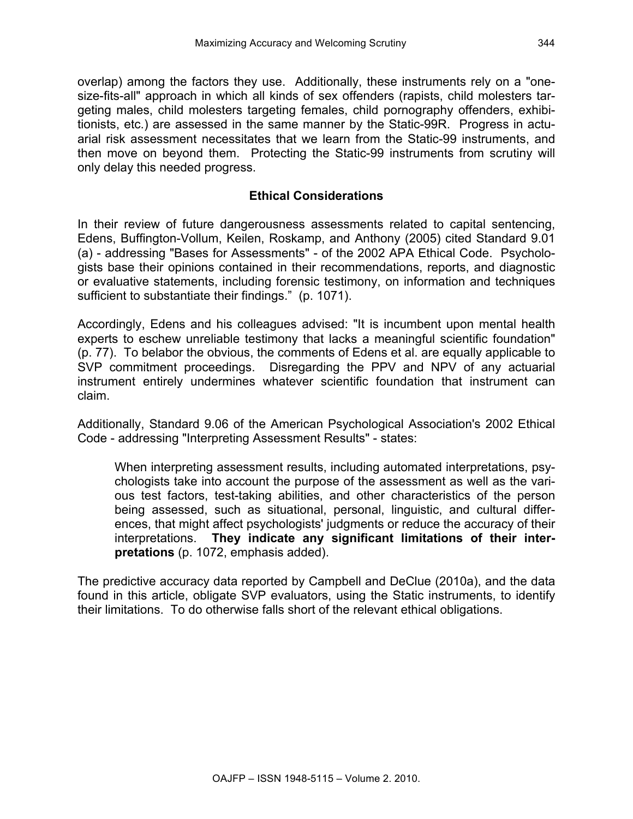overlap) among the factors they use. Additionally, these instruments rely on a "onesize-fits-all" approach in which all kinds of sex offenders (rapists, child molesters targeting males, child molesters targeting females, child pornography offenders, exhibitionists, etc.) are assessed in the same manner by the Static-99R. Progress in actuarial risk assessment necessitates that we learn from the Static-99 instruments, and then move on beyond them. Protecting the Static-99 instruments from scrutiny will only delay this needed progress.

#### **Ethical Considerations**

In their review of future dangerousness assessments related to capital sentencing, Edens, Buffington-Vollum, Keilen, Roskamp, and Anthony (2005) cited Standard 9.01 (a) - addressing "Bases for Assessments" - of the 2002 APA Ethical Code. Psychologists base their opinions contained in their recommendations, reports, and diagnostic or evaluative statements, including forensic testimony, on information and techniques sufficient to substantiate their findings." (p. 1071).

Accordingly, Edens and his colleagues advised: "It is incumbent upon mental health experts to eschew unreliable testimony that lacks a meaningful scientific foundation" (p. 77). To belabor the obvious, the comments of Edens et al. are equally applicable to SVP commitment proceedings. Disregarding the PPV and NPV of any actuarial instrument entirely undermines whatever scientific foundation that instrument can claim.

Additionally, Standard 9.06 of the American Psychological Association's 2002 Ethical Code - addressing "Interpreting Assessment Results" - states:

When interpreting assessment results, including automated interpretations, psychologists take into account the purpose of the assessment as well as the various test factors, test-taking abilities, and other characteristics of the person being assessed, such as situational, personal, linguistic, and cultural differences, that might affect psychologists' judgments or reduce the accuracy of their interpretations. **They indicate any significant limitations of their interpretations** (p. 1072, emphasis added).

The predictive accuracy data reported by Campbell and DeClue (2010a), and the data found in this article, obligate SVP evaluators, using the Static instruments, to identify their limitations. To do otherwise falls short of the relevant ethical obligations.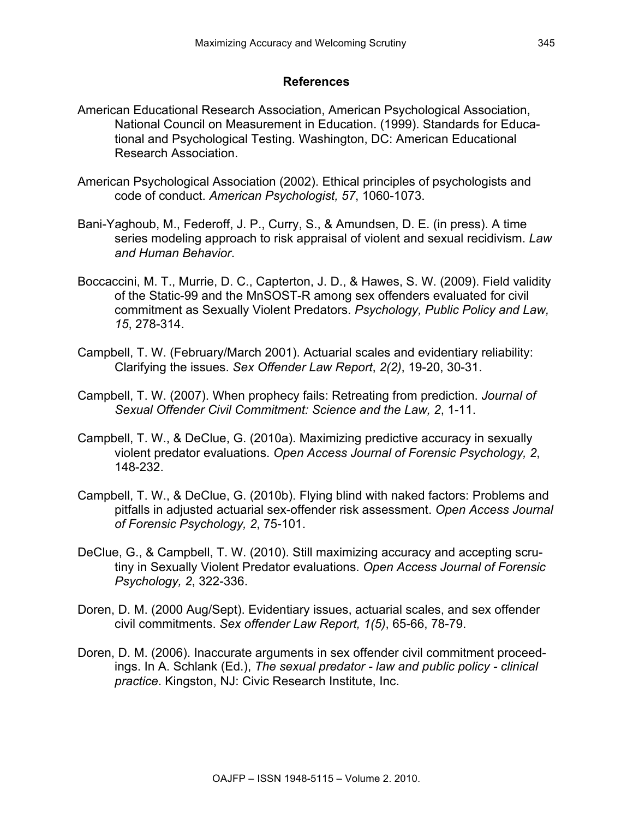#### **References**

- American Educational Research Association, American Psychological Association, National Council on Measurement in Education. (1999). Standards for Educational and Psychological Testing. Washington, DC: American Educational Research Association.
- American Psychological Association (2002). Ethical principles of psychologists and code of conduct. *American Psychologist, 57*, 1060-1073.
- Bani-Yaghoub, M., Federoff, J. P., Curry, S., & Amundsen, D. E. (in press). A time series modeling approach to risk appraisal of violent and sexual recidivism. *Law and Human Behavior*.
- Boccaccini, M. T., Murrie, D. C., Capterton, J. D., & Hawes, S. W. (2009). Field validity of the Static-99 and the MnSOST-R among sex offenders evaluated for civil commitment as Sexually Violent Predators. *Psychology, Public Policy and Law, 15*, 278-314.
- Campbell, T. W. (February/March 2001). Actuarial scales and evidentiary reliability: Clarifying the issues. *Sex Offender Law Report*, *2(2)*, 19-20, 30-31.
- Campbell, T. W. (2007). When prophecy fails: Retreating from prediction. *Journal of Sexual Offender Civil Commitment: Science and the Law, 2*, 1-11.
- Campbell, T. W., & DeClue, G. (2010a). Maximizing predictive accuracy in sexually violent predator evaluations. *Open Access Journal of Forensic Psychology, 2*, 148-232.
- Campbell, T. W., & DeClue, G. (2010b). Flying blind with naked factors: Problems and pitfalls in adjusted actuarial sex-offender risk assessment. *Open Access Journal of Forensic Psychology, 2*, 75-101.
- DeClue, G., & Campbell, T. W. (2010). Still maximizing accuracy and accepting scrutiny in Sexually Violent Predator evaluations. *Open Access Journal of Forensic Psychology, 2*, 322-336.
- Doren, D. M. (2000 Aug/Sept). Evidentiary issues, actuarial scales, and sex offender civil commitments. *Sex offender Law Report, 1(5)*, 65-66, 78-79.
- Doren, D. M. (2006). Inaccurate arguments in sex offender civil commitment proceedings. In A. Schlank (Ed.), *The sexual predator - law and public policy - clinical practice*. Kingston, NJ: Civic Research Institute, Inc.